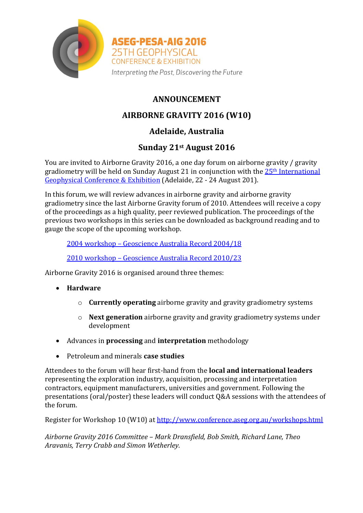

**ASEG-PESA-AIG 2016** 25TH GEOPHYSICAL **CONFERENCE & EXHIBITION** Interpreting the Past, Discovering the Future

## **ANNOUNCEMENT**

# **AIRBORNE GRAVITY 2016 (W10)**

## **Adelaide, Australia**

### **Sunday 21st August 2016**

You are invited to Airborne Gravity 2016, a one day forum on airborne gravity / gravity gradiometry will be held on Sunday August 21 in conjunction with the 25<sup>th</sup> International [Geophysical Conference & Exhibition](http://www.conference.aseg.org.au/) (Adelaide, 22 - 24 August 201).

In this forum, we will review advances in airborne gravity and airborne gravity gradiometry since the last Airborne Gravity forum of 2010. Attendees will receive a copy of the proceedings as a high quality, peer reviewed publication. The proceedings of the previous two workshops in this series can be downloaded as background reading and to gauge the scope of the upcoming workshop.

2004 workshop – [Geoscience Australia Record](https://d28rz98at9flks.cloudfront.net/61129/Rec2004_018.pdf) 2004/18

2010 workshop – [Geoscience Australia Record 2010/23](https://d28rz98at9flks.cloudfront.net/70673/Rec2010_023.pdf)

Airborne Gravity 2016 is organised around three themes:

- **Hardware**
	- o **Currently operating** airborne gravity and gravity gradiometry systems
	- o **Next generation** airborne gravity and gravity gradiometry systems under development
- Advances in **processing** and **interpretation** methodology
- Petroleum and minerals **case studies**

Attendees to the forum will hear first-hand from the **local and international leaders** representing the exploration industry, acquisition, processing and interpretation contractors, equipment manufacturers, universities and government. Following the presentations (oral/poster) these leaders will conduct Q&A sessions with the attendees of the forum.

Register for Workshop 10 (W10) at<http://www.conference.aseg.org.au/workshops.html>

*Airborne Gravity 2016 Committee – Mark Dransfield, Bob Smith, Richard Lane, Theo Aravanis, Terry Crabb and Simon Wetherley.*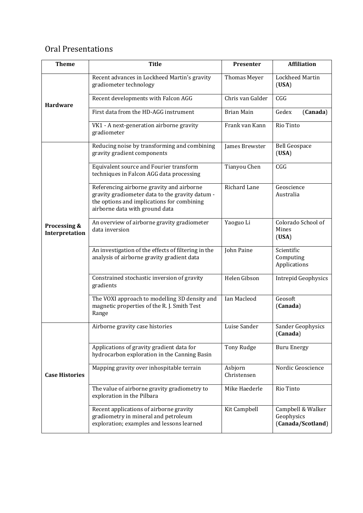### Oral Presentations

| <b>Theme</b>                   | <b>Title</b>                                                                                                                                                                 | Presenter              | <b>Affiliation</b>                                   |
|--------------------------------|------------------------------------------------------------------------------------------------------------------------------------------------------------------------------|------------------------|------------------------------------------------------|
| <b>Hardware</b>                | Recent advances in Lockheed Martin's gravity<br>gradiometer technology                                                                                                       | Thomas Meyer           | Lockheed Martin<br>(USA)                             |
|                                | Recent developments with Falcon AGG                                                                                                                                          | Chris van Galder       | CGG                                                  |
|                                | First data from the HD-AGG instrument                                                                                                                                        | <b>Brian Main</b>      | Gedex<br>(Canada)                                    |
|                                | VK1 - A next-generation airborne gravity<br>gradiometer                                                                                                                      | Frank van Kann         | <b>Rio Tinto</b>                                     |
| Processing &<br>Interpretation | Reducing noise by transforming and combining<br>gravity gradient components                                                                                                  | James Brewster         | <b>Bell Geospace</b><br>(USA)                        |
|                                | Equivalent source and Fourier transform<br>techniques in Falcon AGG data processing                                                                                          | Tianyou Chen           | CGG                                                  |
|                                | Referencing airborne gravity and airborne<br>gravity gradiometer data to the gravity datum -<br>the options and implications for combining<br>airborne data with ground data | <b>Richard Lane</b>    | Geoscience<br>Australia                              |
|                                | An overview of airborne gravity gradiometer<br>data inversion                                                                                                                | Yaoguo Li              | Colorado School of<br>Mines<br>(USA)                 |
|                                | An investigation of the effects of filtering in the<br>analysis of airborne gravity gradient data                                                                            | John Paine             | Scientific<br>Computing<br>Applications              |
|                                | Constrained stochastic inversion of gravity<br>gradients                                                                                                                     | Helen Gibson           | <b>Intrepid Geophysics</b>                           |
|                                | The VOXI approach to modelling 3D density and<br>magnetic properties of the R.J. Smith Test<br>Range                                                                         | Ian Macleod            | Geosoft<br>(Canada)                                  |
| <b>Case Histories</b>          | Airborne gravity case histories                                                                                                                                              | Luise Sander           | Sander Geophysics<br>(Canada)                        |
|                                | Applications of gravity gradient data for<br>hydrocarbon exploration in the Canning Basin                                                                                    | Tony Rudge             | <b>Buru Energy</b>                                   |
|                                | Mapping gravity over inhospitable terrain                                                                                                                                    | Asbjorn<br>Christensen | Nordic Geoscience                                    |
|                                | The value of airborne gravity gradiometry to<br>exploration in the Pilbara                                                                                                   | Mike Haederle          | Rio Tinto                                            |
|                                | Recent applications of airborne gravity<br>gradiometry in mineral and petroleum<br>exploration; examples and lessons learned                                                 | Kit Campbell           | Campbell & Walker<br>Geophysics<br>(Canada/Scotland) |